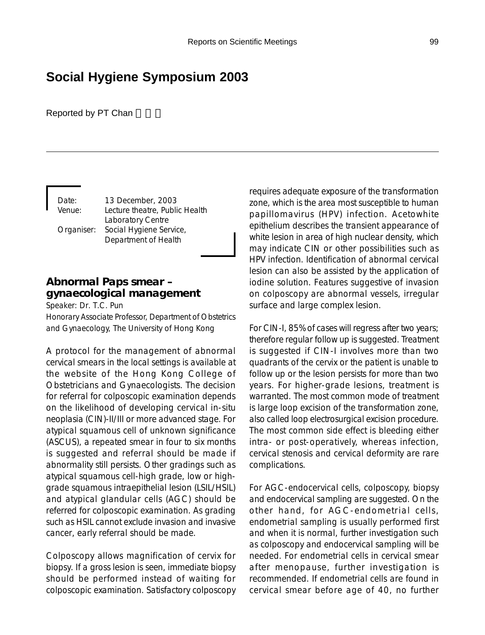# **Social Hygiene Symposium 2003**

Reported by PT Chan

Date: 13 December, 2003

Venue: Lecture theatre, Public Health Laboratory Centre Organiser: Social Hygiene Service, Department of Health

# **Abnormal Paps smear – gynaecological management**

Speaker: Dr. T.C. Pun

Honorary Associate Professor, Department of Obstetrics and Gynaecology, The University of Hong Kong

A protocol for the management of abnormal cervical smears in the local settings is available at the website of the Hong Kong College of Obstetricians and Gynaecologists. The decision for referral for colposcopic examination depends on the likelihood of developing cervical in-situ neoplasia (CIN)-II/III or more advanced stage. For atypical squamous cell of unknown significance (ASCUS), a repeated smear in four to six months is suggested and referral should be made if abnormality still persists. Other gradings such as atypical squamous cell-high grade, low or highgrade squamous intraepithelial lesion (LSIL/HSIL) and atypical glandular cells (AGC) should be referred for colposcopic examination. As grading such as HSIL cannot exclude invasion and invasive cancer, early referral should be made.

Colposcopy allows magnification of cervix for biopsy. If a gross lesion is seen, immediate biopsy should be performed instead of waiting for colposcopic examination. Satisfactory colposcopy requires adequate exposure of the transformation zone, which is the area most susceptible to human papillomavirus (HPV) infection. Acetowhite epithelium describes the transient appearance of white lesion in area of high nuclear density, which may indicate CIN or other possibilities such as HPV infection. Identification of abnormal cervical lesion can also be assisted by the application of iodine solution. Features suggestive of invasion on colposcopy are abnormal vessels, irregular surface and large complex lesion.

For CIN-I, 85% of cases will regress after two years; therefore regular follow up is suggested. Treatment is suggested if CIN-I involves more than two quadrants of the cervix or the patient is unable to follow up or the lesion persists for more than two years. For higher-grade lesions, treatment is warranted. The most common mode of treatment is large loop excision of the transformation zone, also called loop electrosurgical excision procedure. The most common side effect is bleeding either intra- or post-operatively, whereas infection, cervical stenosis and cervical deformity are rare complications.

For AGC-endocervical cells, colposcopy, biopsy and endocervical sampling are suggested. On the other hand, for AGC-endometrial cells, endometrial sampling is usually performed first and when it is normal, further investigation such as colposcopy and endocervical sampling will be needed. For endometrial cells in cervical smear after menopause, further investigation is recommended. If endometrial cells are found in cervical smear before age of 40, no further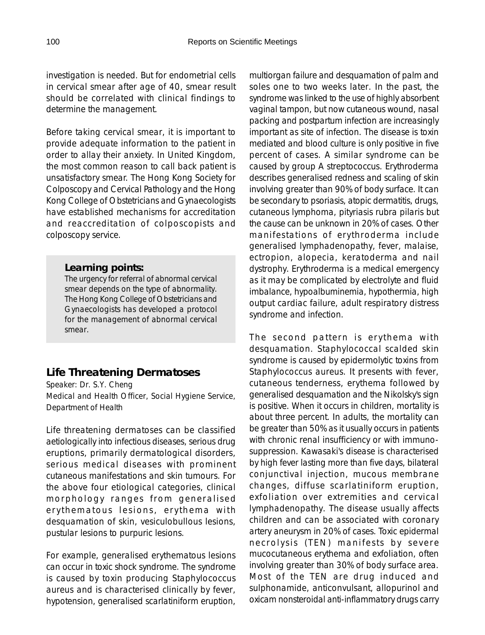investigation is needed. But for endometrial cells in cervical smear after age of 40, smear result should be correlated with clinical findings to determine the management.

Before taking cervical smear, it is important to provide adequate information to the patient in order to allay their anxiety. In United Kingdom, the most common reason to call back patient is unsatisfactory smear. The Hong Kong Society for Colposcopy and Cervical Pathology and the Hong Kong College of Obstetricians and Gynaecologists have established mechanisms for accreditation and reaccreditation of colposcopists and colposcopy service.

## *Learning points:*

The urgency for referral of abnormal cervical smear depends on the type of abnormality. The Hong Kong College of Obstetricians and Gynaecologists has developed a protocol for the management of abnormal cervical smear.

## **Life Threatening Dermatoses**

Speaker: Dr. S.Y. Cheng Medical and Health Officer, Social Hygiene Service, Department of Health

Life threatening dermatoses can be classified aetiologically into infectious diseases, serious drug eruptions, primarily dermatological disorders, serious medical diseases with prominent cutaneous manifestations and skin tumours. For the above four etiological categories, clinical morphology ranges from generalised erythematous lesions, erythema with desquamation of skin, vesiculobullous lesions, pustular lesions to purpuric lesions.

For example, generalised erythematous lesions can occur in toxic shock syndrome. The syndrome is caused by toxin producing Staphylococcus aureus and is characterised clinically by fever, hypotension, generalised scarlatiniform eruption, multiorgan failure and desquamation of palm and soles one to two weeks later. In the past, the syndrome was linked to the use of highly absorbent vaginal tampon, but now cutaneous wound, nasal packing and postpartum infection are increasingly important as site of infection. The disease is toxin mediated and blood culture is only positive in five percent of cases. A similar syndrome can be caused by group A streptococcus. Erythroderma describes generalised redness and scaling of skin involving greater than 90% of body surface. It can be secondary to psoriasis, atopic dermatitis, drugs, cutaneous lymphoma, pityriasis rubra pilaris but the cause can be unknown in 20% of cases. Other manifestations of erythroderma include generalised lymphadenopathy, fever, malaise, ectropion, alopecia, keratoderma and nail dystrophy. Erythroderma is a medical emergency as it may be complicated by electrolyte and fluid imbalance, hypoalbuminemia, hypothermia, high output cardiac failure, adult respiratory distress syndrome and infection.

The second pattern is erythema with desquamation. Staphylococcal scalded skin syndrome is caused by epidermolytic toxins from Staphylococcus aureus. It presents with fever, cutaneous tenderness, erythema followed by generalised desquamation and the Nikolsky's sign is positive. When it occurs in children, mortality is about three percent. In adults, the mortality can be greater than 50% as it usually occurs in patients with chronic renal insufficiency or with immunosuppression. Kawasaki's disease is characterised by high fever lasting more than five days, bilateral conjunctival injection, mucous membrane changes, diffuse scarlatiniform eruption, exfoliation over extremities and cervical lymphadenopathy. The disease usually affects children and can be associated with coronary artery aneurysm in 20% of cases. Toxic epidermal necrolysis (TEN) manifests by severe mucocutaneous erythema and exfoliation, often involving greater than 30% of body surface area. Most of the TEN are drug induced and sulphonamide, anticonvulsant, allopurinol and oxicam nonsteroidal anti-inflammatory drugs carry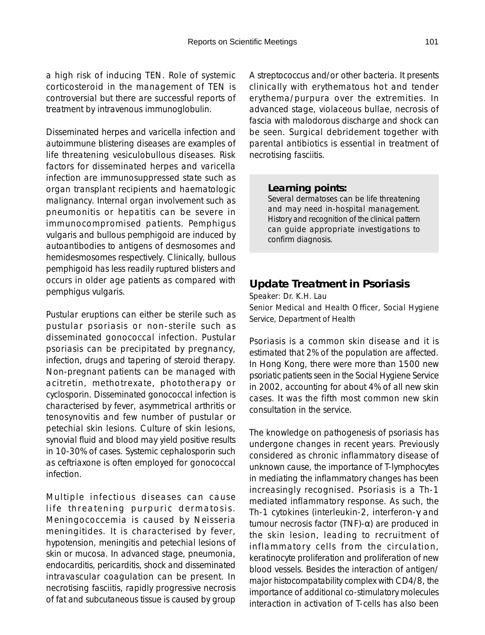a high risk of inducing TEN. Role of systemic corticosteroid in the management of TEN is controversial but there are successful reports of treatment by intravenous immunoglobulin.

Disseminated herpes and varicella infection and autoimmune blistering diseases are examples of life threatening vesiculobullous diseases. Risk factors for disseminated herpes and varicella infection are immunosuppressed state such as organ transplant recipients and haematologic malignancy. Internal organ involvement such as pneumonitis or hepatitis can be severe in immunocompromised patients. Pemphigus vulgaris and bullous pemphigoid are induced by autoantibodies to antigens of desmosomes and hemidesmosomes respectively. Clinically, bullous pemphigoid has less readily ruptured blisters and occurs in older age patients as compared with pemphigus vulgaris.

Pustular eruptions can either be sterile such as pustular psoriasis or non-sterile such as disseminated gonococcal infection. Pustular psoriasis can be precipitated by pregnancy, infection, drugs and tapering of steroid therapy. Non-pregnant patients can be managed with acitretin, methotrexate, phototherapy or cyclosporin. Disseminated gonococcal infection is characterised by fever, asymmetrical arthritis or tenosynovitis and few number of pustular or petechial skin lesions. Culture of skin lesions, synovial fluid and blood may yield positive results in 10-30% of cases. Systemic cephalosporin such as ceftriaxone is often employed for gonococcal infection.

Multiple infectious diseases can cause life threatening purpuric dermatosis. Meningococcemia is caused by Neisseria meningitides. It is characterised by fever, hypotension, meningitis and petechial lesions of skin or mucosa. In advanced stage, pneumonia, endocarditis, pericarditis, shock and disseminated intravascular coagulation can be present. In necrotising fasciitis, rapidly progressive necrosis of fat and subcutaneous tissue is caused by group

A streptococcus and/or other bacteria. It presents clinically with erythematous hot and tender erythema/purpura over the extremities. In advanced stage, violaceous bullae, necrosis of fascia with malodorous discharge and shock can be seen. Surgical debridement together with parental antibiotics is essential in treatment of necrotising fasciitis.

### *Learning points:*

Several dermatoses can be life threatening and may need in-hospital management. History and recognition of the clinical pattern can guide appropriate investigations to confirm diagnosis.

# **Update Treatment in Psoriasis**

Speaker: Dr. K.H. Lau

Senior Medical and Health Officer, Social Hygiene Service, Department of Health

Psoriasis is a common skin disease and it is estimated that 2% of the population are affected. In Hong Kong, there were more than 1500 new psoriatic patients seen in the Social Hygiene Service in 2002, accounting for about 4% of all new skin cases. It was the fifth most common new skin consultation in the service.

The knowledge on pathogenesis of psoriasis has undergone changes in recent years. Previously considered as chronic inflammatory disease of unknown cause, the importance of T-lymphocytes in mediating the inflammatory changes has been increasingly recognised. Psoriasis is a Th-1 mediated inflammatory response. As such, the Th-1 cytokines (interleukin-2, interferon-γ and tumour necrosis factor (TNF)-α) are produced in the skin lesion, leading to recruitment of inflammatory cells from the circulation, keratinocyte proliferation and proliferation of new blood vessels. Besides the interaction of antigen/ major histocompatability complex with CD4/8, the importance of additional co-stimulatory molecules interaction in activation of T-cells has also been